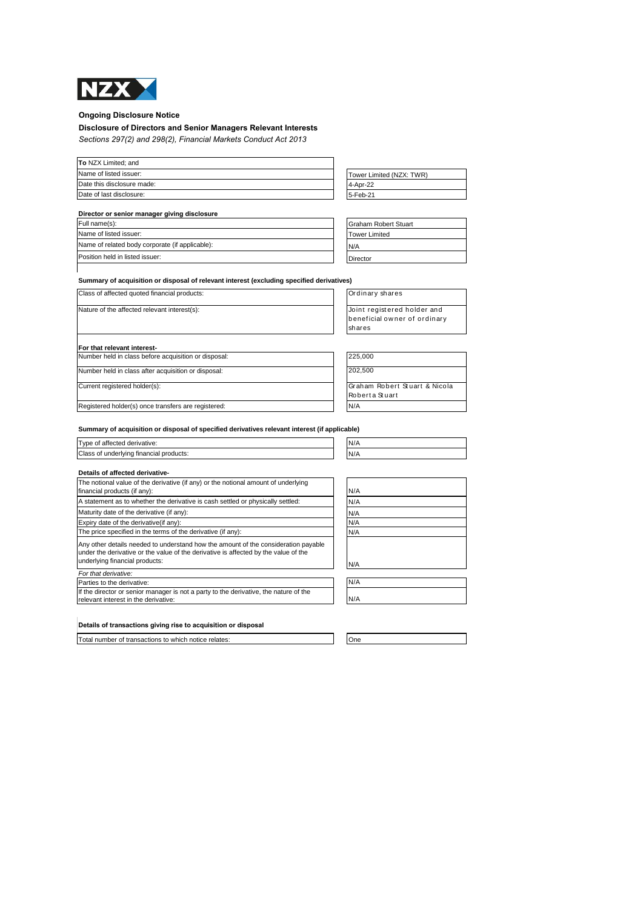

## **Ongoing Disclosure Notice**

# **Disclosure of Directors and Senior Managers Relevant Interests**

*Sections 297(2) and 298(2), Financial Markets Conduct Act 2013*

| To NZX Limited; and        |                          |
|----------------------------|--------------------------|
| Name of listed issuer:     | Tower Limited (NZX: TWR) |
| Date this disclosure made: | 4-Apr-22                 |
| Date of last disclosure:   | 5-Feb-21                 |

|  |  | Director or senior manager giving disclosure |
|--|--|----------------------------------------------|
|  |  |                                              |

| Full name(s):                                   | Graham Robert Stuart |
|-------------------------------------------------|----------------------|
| Name of listed issuer:                          | <b>Tower Limited</b> |
| Name of related body corporate (if applicable): | N/A                  |
| Position held in listed issuer:                 | <b>Director</b>      |

| 4-Apr-22 |  |
|----------|--|
| 5-Feb-21 |  |
|          |  |
|          |  |

| <b>Graham Robert Stuart</b> |  |
|-----------------------------|--|
| <b>Tower Limited</b>        |  |
| N/A                         |  |
| Director                    |  |

| Summary of acquisition or disposal of relevant interest (excluding specified derivatives) |
|-------------------------------------------------------------------------------------------|
|-------------------------------------------------------------------------------------------|

Class of affected quoted financial products: <br>
Ordinary shares

| Nature of the affected relevant interest(s): | Joint regi |
|----------------------------------------------|------------|
|                                              | beneficia  |
|                                              | shares     |
|                                              |            |

|  | For that relevant interest- |  |  |  |  |  |
|--|-----------------------------|--|--|--|--|--|
|  |                             |  |  |  |  |  |

| Number held in class before acquisition or disposal: | 225,000 |
|------------------------------------------------------|---------|
| Number held in class after acquisition or disposal:  | 202,500 |
| Current registered holder(s):                        | Graham  |
|                                                      | Robert  |
| Registered holder(s) once transfers are registered:  | N/A     |

| Joint registered holder and   |
|-------------------------------|
| beneficial owner of ordinary  |
| shares                        |
|                               |
|                               |
| 225,000                       |
| 202,500                       |
|                               |
| Graham Robert Stuart & Nicola |

Rob ert a St uart

**Summary of acquisition or disposal of specified derivatives relevant interest (if applicable)**

| Type of affected derivative:                                                                                                                                                                                | N/A |
|-------------------------------------------------------------------------------------------------------------------------------------------------------------------------------------------------------------|-----|
| Class of underlying financial products:                                                                                                                                                                     | N/A |
| Details of affected derivative-                                                                                                                                                                             |     |
| The notional value of the derivative (if any) or the notional amount of underlying<br>financial products (if any):                                                                                          | N/A |
| A statement as to whether the derivative is cash settled or physically settled:                                                                                                                             | N/A |
| Maturity date of the derivative (if any):                                                                                                                                                                   | N/A |
| Expiry date of the derivative (if any):                                                                                                                                                                     | N/A |
| The price specified in the terms of the derivative (if any):                                                                                                                                                | N/A |
| Any other details needed to understand how the amount of the consideration payable<br>under the derivative or the value of the derivative is affected by the value of the<br>underlying financial products: | N/A |
| For that derivative:                                                                                                                                                                                        |     |
| Parties to the derivative:                                                                                                                                                                                  | N/A |
| If the director or senior manager is not a party to the derivative, the nature of the<br>relevant interest in the derivative:                                                                               | N/A |
|                                                                                                                                                                                                             |     |

**Details of transactions giving rise to acquisition or disposal**

Total number of transactions to which notice relates: One